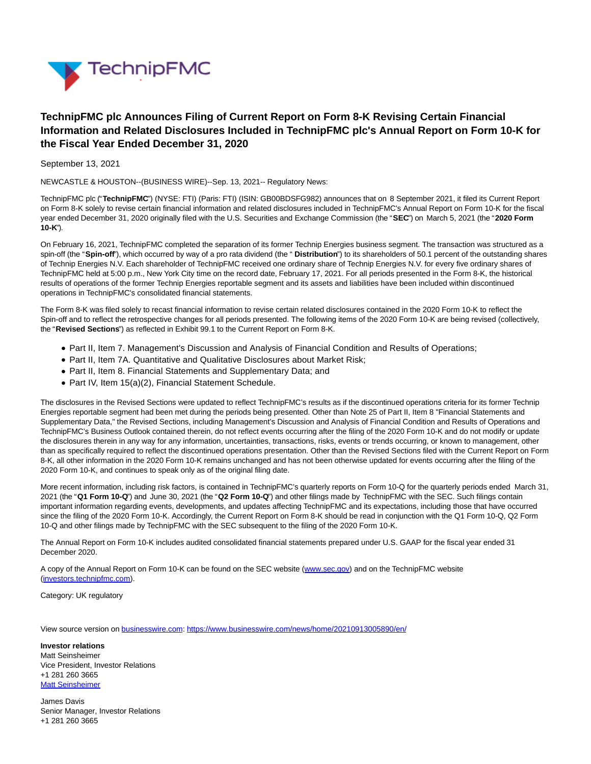

## **TechnipFMC plc Announces Filing of Current Report on Form 8-K Revising Certain Financial Information and Related Disclosures Included in TechnipFMC plc's Annual Report on Form 10-K for the Fiscal Year Ended December 31, 2020**

September 13, 2021

NEWCASTLE & HOUSTON--(BUSINESS WIRE)--Sep. 13, 2021-- Regulatory News:

TechnipFMC plc ("**TechnipFMC**") (NYSE: FTI) (Paris: FTI) (ISIN: GB00BDSFG982) announces that on 8 September 2021, it filed its Current Report on Form 8-K solely to revise certain financial information and related disclosures included in TechnipFMC's Annual Report on Form 10-K for the fiscal year ended December 31, 2020 originally filed with the U.S. Securities and Exchange Commission (the "**SEC**") on March 5, 2021 (the "**2020 Form 10-K**").

On February 16, 2021, TechnipFMC completed the separation of its former Technip Energies business segment. The transaction was structured as a spin-off (the "**Spin-off**"), which occurred by way of a pro rata dividend (the " **Distribution**") to its shareholders of 50.1 percent of the outstanding shares of Technip Energies N.V. Each shareholder of TechnipFMC received one ordinary share of Technip Energies N.V. for every five ordinary shares of TechnipFMC held at 5:00 p.m., New York City time on the record date, February 17, 2021. For all periods presented in the Form 8-K, the historical results of operations of the former Technip Energies reportable segment and its assets and liabilities have been included within discontinued operations in TechnipFMC's consolidated financial statements.

The Form 8-K was filed solely to recast financial information to revise certain related disclosures contained in the 2020 Form 10-K to reflect the Spin-off and to reflect the retrospective changes for all periods presented. The following items of the 2020 Form 10-K are being revised (collectively, the "**Revised Sections**") as reflected in Exhibit 99.1 to the Current Report on Form 8-K.

- Part II, Item 7. Management's Discussion and Analysis of Financial Condition and Results of Operations;
- Part II, Item 7A. Quantitative and Qualitative Disclosures about Market Risk;
- Part II, Item 8. Financial Statements and Supplementary Data; and
- Part IV, Item 15(a)(2), Financial Statement Schedule.

The disclosures in the Revised Sections were updated to reflect TechnipFMC's results as if the discontinued operations criteria for its former Technip Energies reportable segment had been met during the periods being presented. Other than Note 25 of Part II, Item 8 "Financial Statements and Supplementary Data," the Revised Sections, including Management's Discussion and Analysis of Financial Condition and Results of Operations and TechnipFMC's Business Outlook contained therein, do not reflect events occurring after the filing of the 2020 Form 10-K and do not modify or update the disclosures therein in any way for any information, uncertainties, transactions, risks, events or trends occurring, or known to management, other than as specifically required to reflect the discontinued operations presentation. Other than the Revised Sections filed with the Current Report on Form 8-K, all other information in the 2020 Form 10-K remains unchanged and has not been otherwise updated for events occurring after the filing of the 2020 Form 10-K, and continues to speak only as of the original filing date.

More recent information, including risk factors, is contained in TechnipFMC's quarterly reports on Form 10-Q for the quarterly periods ended March 31, 2021 (the "**Q1 Form 10-Q**") and June 30, 2021 (the "**Q2 Form 10-Q**") and other filings made by TechnipFMC with the SEC. Such filings contain important information regarding events, developments, and updates affecting TechnipFMC and its expectations, including those that have occurred since the filing of the 2020 Form 10-K. Accordingly, the Current Report on Form 8-K should be read in conjunction with the Q1 Form 10-Q, Q2 Form 10-Q and other filings made by TechnipFMC with the SEC subsequent to the filing of the 2020 Form 10-K.

The Annual Report on Form 10-K includes audited consolidated financial statements prepared under U.S. GAAP for the fiscal year ended 31 December 2020.

A copy of the Annual Report on Form 10-K can be found on the SEC website [\(www.sec.gov\)](https://cts.businesswire.com/ct/CT?id=smartlink&url=http%3A%2F%2Fwww.sec.gov&esheet=52491088&newsitemid=20210913005890&lan=en-US&anchor=www.sec.gov&index=1&md5=4c1ca3c3d003fb46cbea67939b7d78de) and on the TechnipFMC website [\(investors.technipfmc.com\).](https://cts.businesswire.com/ct/CT?id=smartlink&url=http%3A%2F%2Finvestors.technipfmc.com&esheet=52491088&newsitemid=20210913005890&lan=en-US&anchor=investors.technipfmc.com&index=2&md5=9dadc8029b90087d0331a96c7aa8ed00)

Category: UK regulatory

View source version on [businesswire.com:](http://businesswire.com/)<https://www.businesswire.com/news/home/20210913005890/en/>

**Investor relations** Matt Seinsheimer Vice President, Investor Relations +1 281 260 3665 [Matt Seinsheimer](mailto:InvestorRelations@TechnipFMC.com)

James Davis Senior Manager, Investor Relations +1 281 260 3665